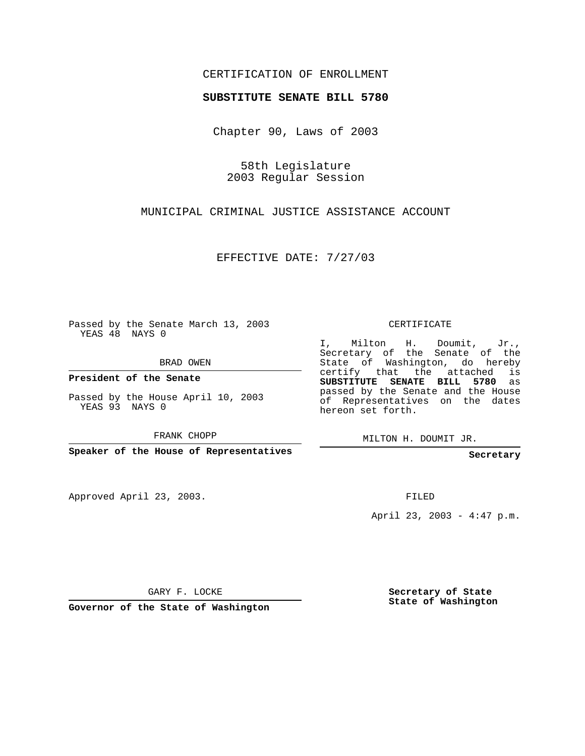## CERTIFICATION OF ENROLLMENT

## **SUBSTITUTE SENATE BILL 5780**

Chapter 90, Laws of 2003

58th Legislature 2003 Regular Session

MUNICIPAL CRIMINAL JUSTICE ASSISTANCE ACCOUNT

EFFECTIVE DATE: 7/27/03

Passed by the Senate March 13, 2003 YEAS 48 NAYS 0

BRAD OWEN

**President of the Senate**

Passed by the House April 10, 2003 YEAS 93 NAYS 0

FRANK CHOPP

**Speaker of the House of Representatives**

Approved April 23, 2003.

CERTIFICATE

I, Milton H. Doumit, Jr., Secretary of the Senate of the State of Washington, do hereby certify that the attached is **SUBSTITUTE SENATE BILL 5780** as passed by the Senate and the House of Representatives on the dates hereon set forth.

MILTON H. DOUMIT JR.

**Secretary**

FILED

April 23, 2003 - 4:47 p.m.

GARY F. LOCKE

**Governor of the State of Washington**

**Secretary of State State of Washington**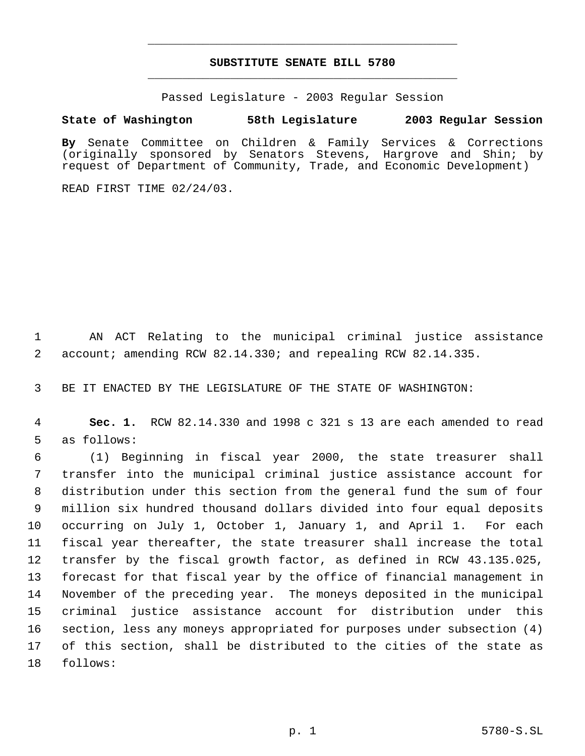## **SUBSTITUTE SENATE BILL 5780** \_\_\_\_\_\_\_\_\_\_\_\_\_\_\_\_\_\_\_\_\_\_\_\_\_\_\_\_\_\_\_\_\_\_\_\_\_\_\_\_\_\_\_\_\_

\_\_\_\_\_\_\_\_\_\_\_\_\_\_\_\_\_\_\_\_\_\_\_\_\_\_\_\_\_\_\_\_\_\_\_\_\_\_\_\_\_\_\_\_\_

Passed Legislature - 2003 Regular Session

## **State of Washington 58th Legislature 2003 Regular Session**

**By** Senate Committee on Children & Family Services & Corrections (originally sponsored by Senators Stevens, Hargrove and Shin; by request of Department of Community, Trade, and Economic Development)

READ FIRST TIME 02/24/03.

 AN ACT Relating to the municipal criminal justice assistance account; amending RCW 82.14.330; and repealing RCW 82.14.335.

BE IT ENACTED BY THE LEGISLATURE OF THE STATE OF WASHINGTON:

 **Sec. 1.** RCW 82.14.330 and 1998 c 321 s 13 are each amended to read as follows:

 (1) Beginning in fiscal year 2000, the state treasurer shall transfer into the municipal criminal justice assistance account for distribution under this section from the general fund the sum of four million six hundred thousand dollars divided into four equal deposits occurring on July 1, October 1, January 1, and April 1. For each fiscal year thereafter, the state treasurer shall increase the total transfer by the fiscal growth factor, as defined in RCW 43.135.025, forecast for that fiscal year by the office of financial management in November of the preceding year. The moneys deposited in the municipal criminal justice assistance account for distribution under this section, less any moneys appropriated for purposes under subsection (4) of this section, shall be distributed to the cities of the state as follows: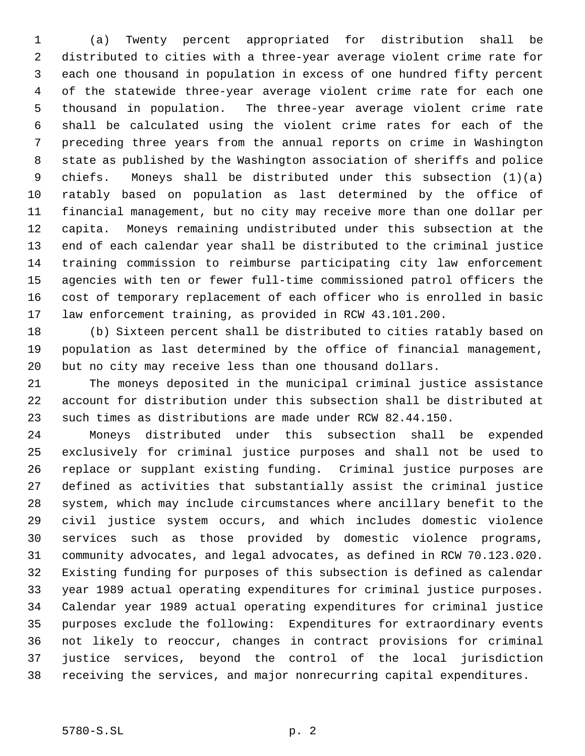(a) Twenty percent appropriated for distribution shall be distributed to cities with a three-year average violent crime rate for each one thousand in population in excess of one hundred fifty percent of the statewide three-year average violent crime rate for each one thousand in population. The three-year average violent crime rate shall be calculated using the violent crime rates for each of the preceding three years from the annual reports on crime in Washington state as published by the Washington association of sheriffs and police chiefs. Moneys shall be distributed under this subsection (1)(a) ratably based on population as last determined by the office of financial management, but no city may receive more than one dollar per capita. Moneys remaining undistributed under this subsection at the end of each calendar year shall be distributed to the criminal justice training commission to reimburse participating city law enforcement agencies with ten or fewer full-time commissioned patrol officers the cost of temporary replacement of each officer who is enrolled in basic law enforcement training, as provided in RCW 43.101.200.

 (b) Sixteen percent shall be distributed to cities ratably based on population as last determined by the office of financial management, but no city may receive less than one thousand dollars.

 The moneys deposited in the municipal criminal justice assistance account for distribution under this subsection shall be distributed at such times as distributions are made under RCW 82.44.150.

 Moneys distributed under this subsection shall be expended exclusively for criminal justice purposes and shall not be used to replace or supplant existing funding. Criminal justice purposes are defined as activities that substantially assist the criminal justice system, which may include circumstances where ancillary benefit to the civil justice system occurs, and which includes domestic violence services such as those provided by domestic violence programs, community advocates, and legal advocates, as defined in RCW 70.123.020. Existing funding for purposes of this subsection is defined as calendar year 1989 actual operating expenditures for criminal justice purposes. Calendar year 1989 actual operating expenditures for criminal justice purposes exclude the following: Expenditures for extraordinary events not likely to reoccur, changes in contract provisions for criminal justice services, beyond the control of the local jurisdiction receiving the services, and major nonrecurring capital expenditures.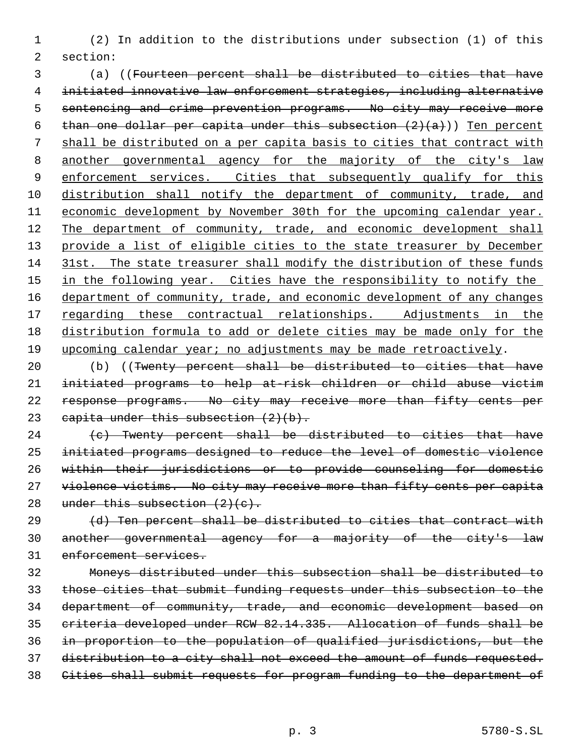(2) In addition to the distributions under subsection (1) of this section:

 (a) ((Fourteen percent shall be distributed to cities that have initiated innovative law enforcement strategies, including alternative sentencing and crime prevention programs. No city may receive more 6 than one dollar per capita under this subsection  $(2)(a)$ ) Ten percent shall be distributed on a per capita basis to cities that contract with 8 another governmental agency for the majority of the city's law 9 enforcement services. Cities that subsequently qualify for this 10 distribution shall notify the department of community, trade, and 11 economic development by November 30th for the upcoming calendar year. 12 The department of community, trade, and economic development shall 13 provide a list of eligible cities to the state treasurer by December 31st. The state treasurer shall modify the distribution of these funds 15 in the following year. Cities have the responsibility to notify the 16 department of community, trade, and economic development of any changes 17 regarding these contractual relationships. Adjustments in the distribution formula to add or delete cities may be made only for the upcoming calendar year; no adjustments may be made retroactively.

 (b) ((Twenty percent shall be distributed to cities that have initiated programs to help at-risk children or child abuse victim response programs. No city may receive more than fifty cents per 23 capita under this subsection  $(2)(b)$ .

 (c) Twenty percent shall be distributed to cities that have initiated programs designed to reduce the level of domestic violence within their jurisdictions or to provide counseling for domestic 27 violence victims. No city may receive more than fifty cents per capita 28 under this subsection  $(2)(c)$ .

29 (d) Ten percent shall be distributed to cities that contract with another governmental agency for a majority of the city's law enforcement services.

 Moneys distributed under this subsection shall be distributed to those cities that submit funding requests under this subsection to the department of community, trade, and economic development based on criteria developed under RCW 82.14.335. Allocation of funds shall be in proportion to the population of qualified jurisdictions, but the distribution to a city shall not exceed the amount of funds requested. Cities shall submit requests for program funding to the department of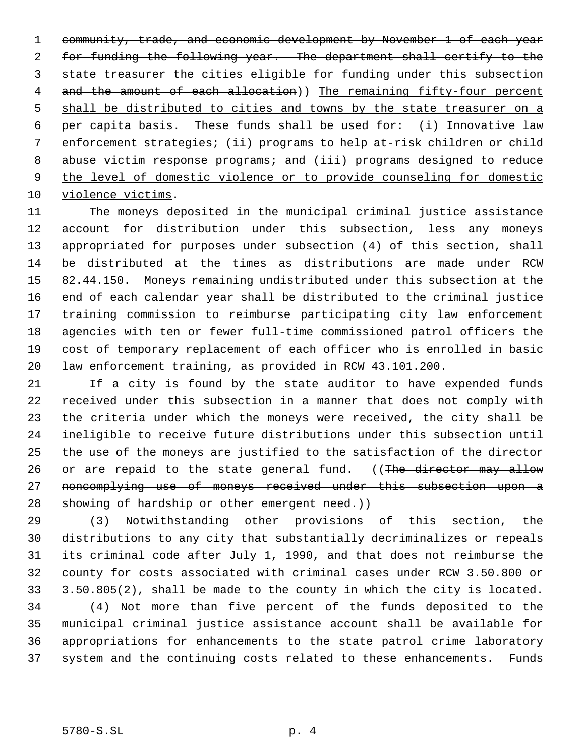community, trade, and economic development by November 1 of each year for funding the following year. The department shall certify to the state treasurer the cities eligible for funding under this subsection 4 and the amount of each allocation)) The remaining fifty-four percent 5 shall be distributed to cities and towns by the state treasurer on a per capita basis. These funds shall be used for: (i) Innovative law enforcement strategies; (ii) programs to help at-risk children or child abuse victim response programs; and (iii) programs designed to reduce the level of domestic violence or to provide counseling for domestic 10 violence victims.

 The moneys deposited in the municipal criminal justice assistance account for distribution under this subsection, less any moneys appropriated for purposes under subsection (4) of this section, shall be distributed at the times as distributions are made under RCW 82.44.150. Moneys remaining undistributed under this subsection at the end of each calendar year shall be distributed to the criminal justice training commission to reimburse participating city law enforcement agencies with ten or fewer full-time commissioned patrol officers the cost of temporary replacement of each officer who is enrolled in basic law enforcement training, as provided in RCW 43.101.200.

 If a city is found by the state auditor to have expended funds received under this subsection in a manner that does not comply with the criteria under which the moneys were received, the city shall be ineligible to receive future distributions under this subsection until the use of the moneys are justified to the satisfaction of the director 26 or are repaid to the state general fund. ((The director may allow 27 noncomplying use of moneys received under this subsection upon a 28 showing of hardship or other emergent need.))

 (3) Notwithstanding other provisions of this section, the distributions to any city that substantially decriminalizes or repeals its criminal code after July 1, 1990, and that does not reimburse the county for costs associated with criminal cases under RCW 3.50.800 or 3.50.805(2), shall be made to the county in which the city is located.

 (4) Not more than five percent of the funds deposited to the municipal criminal justice assistance account shall be available for appropriations for enhancements to the state patrol crime laboratory system and the continuing costs related to these enhancements. Funds